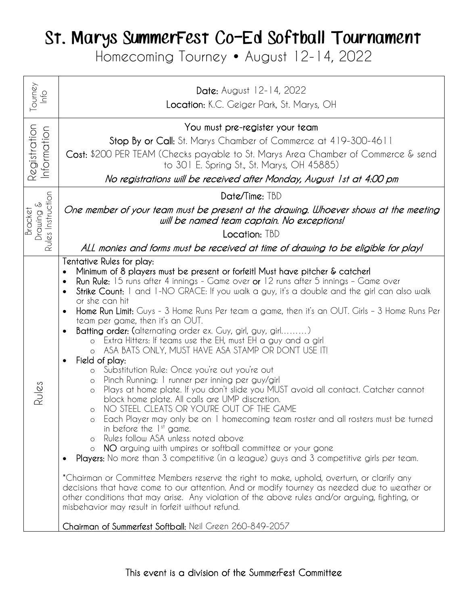## St. Marys SummerFest Co-Ed Softball Tournament

Homecoming Tourney • August 12-14, 2022

| ourney<br>ln 6                            | Date: August 12-14, 2022<br>Location: K.C. Geiger Park, St. Marys, OH                                                                                                                                                                                                                                                                                                                                                                                                                                                                                                                                                                                                                                                                                                                                                                                                                                                                                                                                                                                                                                                                                                                                                                                                                                                                                                                                                                                                                                                                                                                                                                                                                                                                                                                                              |
|-------------------------------------------|--------------------------------------------------------------------------------------------------------------------------------------------------------------------------------------------------------------------------------------------------------------------------------------------------------------------------------------------------------------------------------------------------------------------------------------------------------------------------------------------------------------------------------------------------------------------------------------------------------------------------------------------------------------------------------------------------------------------------------------------------------------------------------------------------------------------------------------------------------------------------------------------------------------------------------------------------------------------------------------------------------------------------------------------------------------------------------------------------------------------------------------------------------------------------------------------------------------------------------------------------------------------------------------------------------------------------------------------------------------------------------------------------------------------------------------------------------------------------------------------------------------------------------------------------------------------------------------------------------------------------------------------------------------------------------------------------------------------------------------------------------------------------------------------------------------------|
| Registration<br>Information               | You must pre-register your team<br>Stop By or Call: St. Marys Chamber of Commerce at 419-300-4611<br>Cost: \$200 PER TEAM (Checks payable to St. Marys Area Chamber of Commerce & send<br>to 301 E. Spring St., St. Marys, OH 45885)<br>No registrations will be received after Monday, August 1st at 4:00 pm                                                                                                                                                                                                                                                                                                                                                                                                                                                                                                                                                                                                                                                                                                                                                                                                                                                                                                                                                                                                                                                                                                                                                                                                                                                                                                                                                                                                                                                                                                      |
| Rules Instruction<br>Drawing &<br>Bracket | Date/Time: TBD                                                                                                                                                                                                                                                                                                                                                                                                                                                                                                                                                                                                                                                                                                                                                                                                                                                                                                                                                                                                                                                                                                                                                                                                                                                                                                                                                                                                                                                                                                                                                                                                                                                                                                                                                                                                     |
|                                           | One member of your team must be present at the drawing. Whoever shows at the meeting<br>will be named team captain. No exceptions!                                                                                                                                                                                                                                                                                                                                                                                                                                                                                                                                                                                                                                                                                                                                                                                                                                                                                                                                                                                                                                                                                                                                                                                                                                                                                                                                                                                                                                                                                                                                                                                                                                                                                 |
|                                           | Location: TBD                                                                                                                                                                                                                                                                                                                                                                                                                                                                                                                                                                                                                                                                                                                                                                                                                                                                                                                                                                                                                                                                                                                                                                                                                                                                                                                                                                                                                                                                                                                                                                                                                                                                                                                                                                                                      |
|                                           | ALL monies and forms must be received at time of drawing to be eligible for play!                                                                                                                                                                                                                                                                                                                                                                                                                                                                                                                                                                                                                                                                                                                                                                                                                                                                                                                                                                                                                                                                                                                                                                                                                                                                                                                                                                                                                                                                                                                                                                                                                                                                                                                                  |
| Rules                                     | Tentative Rules for play:<br>Minimum of 8 players must be present or forfeit! Must have pitcher & catcher!<br>Run Rule: 15 runs after 4 innings - Game over or 12 runs after 5 innings - Game over<br>Strike Count: I and I-NO GRACE: If you walk a guy, it's a double and the girl can also walk<br>$\bullet$<br>or she can hit<br>Home Run Limit: Guys - 3 Home Runs Per team a game, then it's an OUT. Girls - 3 Home Runs Per<br>team per game, then it's an OUT.<br>Batting order: (alternating order ex. Guy, girl, guy, girl)<br>Extra Hitters: If teams use the EH, must EH a guy and a girl<br>$\circ$<br>ASA BATS ONLY, MUST HAVE ASA STAMP OR DON'T USE IT!<br>$\circ$<br>Field of play:<br>$\bullet$<br>Substitution Rule: Once you're out you're out<br>$\circ$<br>Pinch Running: I runner per inning per guy/girl<br>$\circ$<br>Plays at home plate. If you don't slide you MUST avoid all contact. Catcher cannot<br>$\circ$<br>block home plate. All calls are UMP discretion.<br>NO STEEL CLEATS OR YOU'RE OUT OF THE GAME<br>$\Omega$<br>Each Player may only be on 1 homecoming team roster and all rosters must be turned<br>$\circ$<br>in before the $1st$ game.<br>Rules follow ASA unless noted above<br>NO arguing with umpires or softball committee or your gone<br>$\circ$<br>Players: No more than 3 competitive (in a league) guys and 3 competitive girls per team.<br>*Chairman or Committee Members reserve the right to make, uphold, overturn, or clarify any<br>decisions that have come to our attention. And or modify tourney as needed due to weather or<br>other conditions that may arise. Any violation of the above rules and/or arguing, fighting, or<br>misbehavior may result in forfeit without refund.<br>Chairman of Summerfest Softball: Neil Green 260-849-2057 |